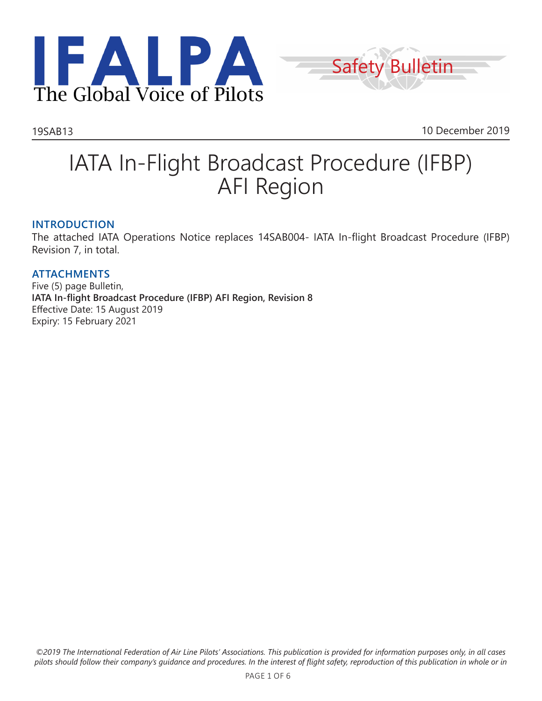



19SAB13 10 December 2019

# IATA In-Flight Broadcast Procedure (IFBP) AFI Region

#### **INTRODUCTION**

The attached IATA Operations Notice replaces 14SAB004- IATA In-flight Broadcast Procedure (IFBP) Revision 7, in total.

#### **ATTACHMENTS** Five (5) page Bulletin, **IATA In-flight Broadcast Procedure (IFBP) AFI Region, Revision 8** Effective Date: 15 August 2019 Expiry: 15 February 2021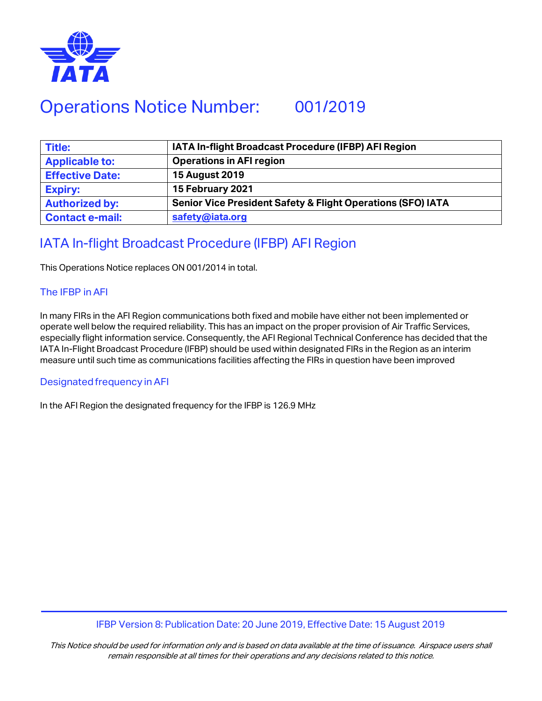

## Operations Notice Number: 001/2019

| <b>Title:</b>          | IATA In-flight Broadcast Procedure (IFBP) AFI Region                   |
|------------------------|------------------------------------------------------------------------|
| <b>Applicable to:</b>  | <b>Operations in AFI region</b>                                        |
| <b>Effective Date:</b> | <b>15 August 2019</b>                                                  |
| <b>Expiry:</b>         | 15 February 2021                                                       |
| <b>Authorized by:</b>  | <b>Senior Vice President Safety &amp; Flight Operations (SFO) IATA</b> |
| <b>Contact e-mail:</b> | safety@iata.org                                                        |

### IATA In-flight Broadcast Procedure (IFBP) AFI Region

This Operations Notice replaces ON 001/2014 in total.

#### The IFBP in AFI

In many FIRs in the AFI Region communications both fixed and mobile have either not been implemented or operate well below the required reliability. This has an impact on the proper provision of Air Traffic Services, especially flight information service. Consequently, the AFI Regional Technical Conference has decided that the IATA In-Flight Broadcast Procedure (IFBP) should be used within designated FIRs in the Region as an interim measure until such time as communications facilities affecting the FIRs in question have been improved

#### Designated frequency in AFI

In the AFI Region the designated frequency for the IFBP is 126.9 MHz

#### IFBP Version 8: Publication Date: 20 June 2019, Effective Date: 15 August 2019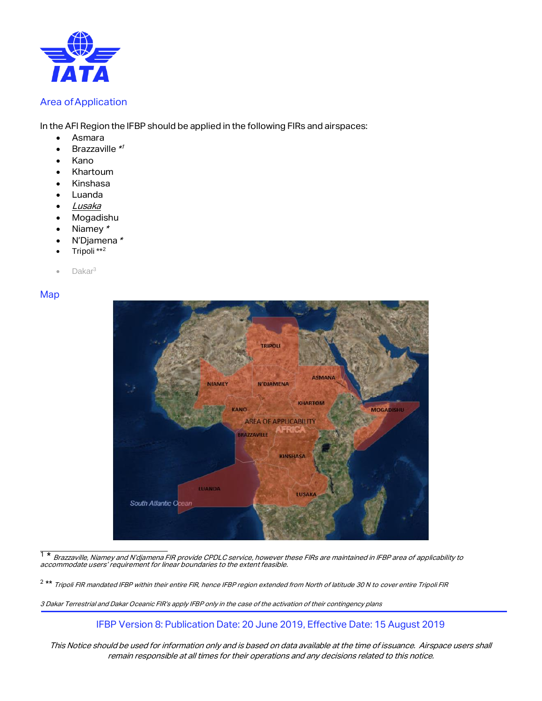

#### Area ofApplication

In the AFI Region the IFBP should be applied in the following FIRs and airspaces:

- Asmara
- Brazzaville \*<sup>1</sup>
- Kano
- Khartoum
- Kinshasa
- Luanda
- Lusaka
- Mogadishu
- Niamey \*
- N'Djamena\*
- Tripoli \*\*<sup>2</sup>
- Dakar<sup>3</sup>

Map



 $1*$ <sup>1</sup> \* Brazzaville, Niamey and N'djamena FIR provide CPDLC service, however these FIRs are maintained in IFBP area of applicability to<br>accommodate users' requirement for linear boundaries to the extent feasible.

<sup>2 \*\*</sup> Tripoli FIR mandated IFBP within their entire FIR, hence IFBP region extended from North of latitude 30 N to cover entire Tripoli FIR

3 Dakar Terrestrial and Dakar Oceanic FIR's apply IFBP only in the case of the activation of their contingency plans

IFBP Version 8: Publication Date: 20 June 2019, Effective Date: 15 August 2019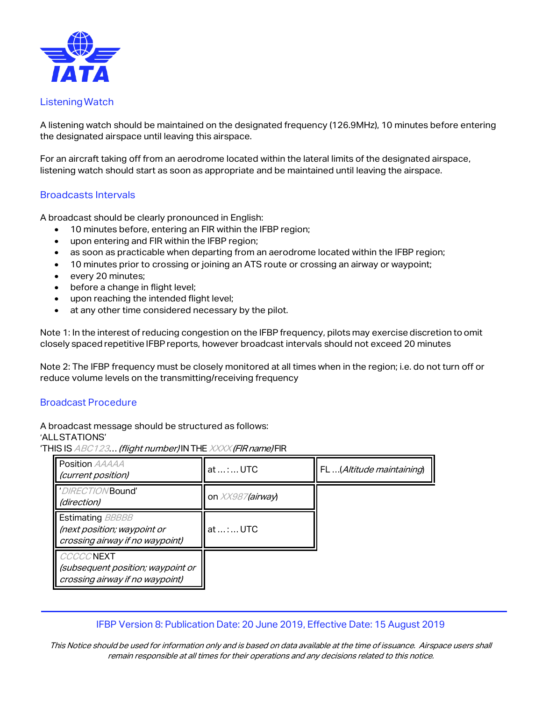

#### ListeningWatch

A listening watch should be maintained on the designated frequency (126.9MHz), 10 minutes before entering the designated airspace until leaving this airspace.

For an aircraft taking off from an aerodrome located within the lateral limits of the designated airspace, listening watch should start as soon as appropriate and be maintained until leaving the airspace.

#### Broadcasts Intervals

A broadcast should be clearly pronounced in English:

- 10 minutes before, entering an FIR within the IFBP region;
- upon entering and FIR within the IFBP region;
- as soon as practicable when departing from an aerodrome located within the IFBP region;
- 10 minutes prior to crossing or joining an ATS route or crossing an airway or waypoint;
- every 20 minutes;
- before a change in flight level;
- upon reaching the intended flight level;
- at any other time considered necessary by the pilot.

Note 1: In the interest of reducing congestion on the IFBP frequency, pilots may exercise discretion to omit closely spaced repetitive IFBP reports, however broadcast intervals should not exceed 20 minutes

Note 2: The IFBP frequency must be closely monitored at all times when in the region; i.e. do not turn off or reduce volume levels on the transmitting/receiving frequency

#### Broadcast Procedure

A broadcast message should be structured as follows:

#### 'ALLSTATIONS'

'THIS IS ABC123... (flight number) IN THE XXXX (FIR name) FIR

| Position AAAAA<br>(current position)                                                      | at :  UTC        | FL(Altitude maintaining) |
|-------------------------------------------------------------------------------------------|------------------|--------------------------|
| 'DIRECTION'Bound'<br>(direction)                                                          | on XX987(airway) |                          |
| <b>Estimating BBBBB</b><br>(next position; waypoint or<br>crossing airway if no waypoint) | at  :  UTC       |                          |
| <b>CCCCCNEXT</b><br>(subsequent position; waypoint or<br>crossing airway if no waypoint)  |                  |                          |

#### IFBP Version 8: Publication Date: 20 June 2019, Effective Date: 15 August 2019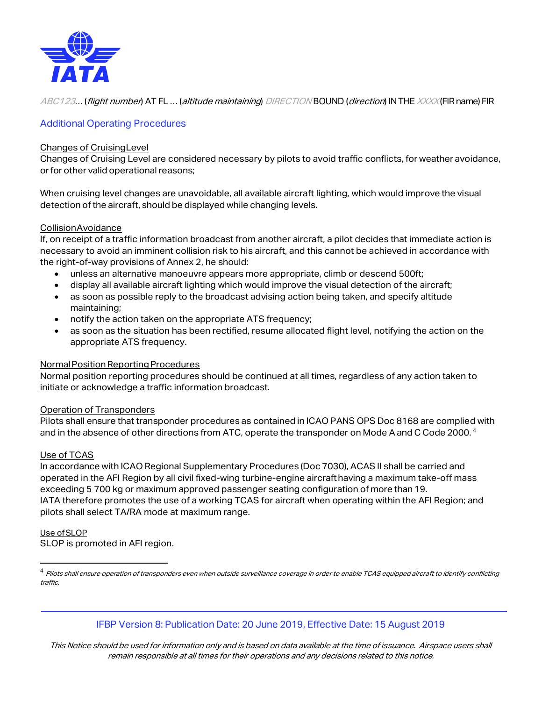

ABC123... (flight number) AT FL ... (altitude maintaining) DIRECTION BOUND (direction) IN THE XXXX (FIR name) FIR

#### Additional Operating Procedures

#### Changes of CruisingLevel

Changes of Cruising Level are considered necessary by pilots to avoid traffic conflicts, for weather avoidance, or for other valid operational reasons;

When cruising level changes are unavoidable, all available aircraft lighting, which would improve the visual detection of the aircraft, should be displayed while changing levels.

#### CollisionAvoidance

If, on receipt of a traffic information broadcast from another aircraft, a pilot decides that immediate action is necessary to avoid an imminent collision risk to his aircraft, and this cannot be achieved in accordance with the right-of-way provisions of Annex 2, he should:

- unless an alternative manoeuvre appears more appropriate, climb or descend 500ft;
- display all available aircraft lighting which would improve the visual detection of the aircraft;
- as soon as possible reply to the broadcast advising action being taken, and specify altitude maintaining;
- notify the action taken on the appropriate ATS frequency;
- as soon as the situation has been rectified, resume allocated flight level, notifying the action on the appropriate ATS frequency.

#### Normal Position Reporting Procedures

Normal position reporting procedures should be continued at all times, regardless of any action taken to initiate or acknowledge a traffic information broadcast.

#### Operation of Transponders

Pilots shall ensure that transponder procedures as contained in ICAO PANS OPS Doc 8168 are complied with and in the absence of other directions from ATC, operate the transponder on Mode A and C Code 2000.<sup>4</sup>

#### Use of TCAS

In accordance with ICAO Regional Supplementary Procedures (Doc 7030), ACAS II shall be carried and operated in the AFI Region by all civil fixed-wing turbine-engine aircrafthaving a maximum take-off mass exceeding 5 700 kg or maximum approved passenger seating configuration of more than 19. IATA therefore promotes the use of a working TCAS for aircraft when operating within the AFI Region; and pilots shall select TA/RA mode at maximum range.

### Use ofSLOP

1

SLOP is promoted in AFI region.

#### IFBP Version 8: Publication Date: 20 June 2019, Effective Date: 15 August 2019

<sup>&</sup>lt;sup>4</sup> Pilots shall ensure operation of transponders even when outside surveillance coverage in order to enable TCAS equipped aircraft to identify conflicting traffic.